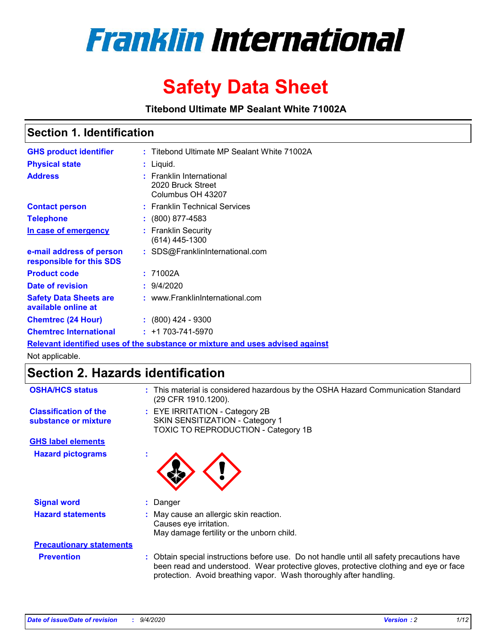

# **Safety Data Sheet**

**Titebond Ultimate MP Sealant White 71002A**

### **Section 1. Identification**

| <b>GHS product identifier</b>                        | : Titebond Ultimate MP Sealant White 71002A                                   |
|------------------------------------------------------|-------------------------------------------------------------------------------|
| <b>Physical state</b>                                | : Liquid.                                                                     |
| <b>Address</b>                                       | : Franklin International<br>2020 Bruck Street<br>Columbus OH 43207            |
| <b>Contact person</b>                                | : Franklin Technical Services                                                 |
| <b>Telephone</b>                                     | $\colon$ (800) 877-4583                                                       |
| In case of emergency                                 | : Franklin Security<br>$(614)$ 445-1300                                       |
| e-mail address of person<br>responsible for this SDS | : SDS@FranklinInternational.com                                               |
| <b>Product code</b>                                  | : 71002A                                                                      |
| Date of revision                                     | : 9/4/2020                                                                    |
| <b>Safety Data Sheets are</b><br>available online at | : www.FranklinInternational.com                                               |
| <b>Chemtrec (24 Hour)</b>                            | $: (800)$ 424 - 9300                                                          |
| <b>Chemtrec International</b>                        | $: +1703 - 741 - 5970$                                                        |
|                                                      | Relevant identified uses of the substance or mixture and uses advised against |

Not applicable.

## **Section 2. Hazards identification**

| <b>OSHA/HCS status</b>                               |    | : This material is considered hazardous by the OSHA Hazard Communication Standard<br>(29 CFR 1910.1200).                                                                                                                                                 |
|------------------------------------------------------|----|----------------------------------------------------------------------------------------------------------------------------------------------------------------------------------------------------------------------------------------------------------|
| <b>Classification of the</b><br>substance or mixture |    | : EYE IRRITATION - Category 2B<br>SKIN SENSITIZATION - Category 1<br>TOXIC TO REPRODUCTION - Category 1B                                                                                                                                                 |
| <b>GHS label elements</b>                            |    |                                                                                                                                                                                                                                                          |
| <b>Hazard pictograms</b>                             | ×. |                                                                                                                                                                                                                                                          |
| <b>Signal word</b>                                   | ÷. | Danger                                                                                                                                                                                                                                                   |
| <b>Hazard statements</b>                             |    | May cause an allergic skin reaction.<br>Causes eye irritation.<br>May damage fertility or the unborn child.                                                                                                                                              |
| <b>Precautionary statements</b>                      |    |                                                                                                                                                                                                                                                          |
| <b>Prevention</b>                                    |    | : Obtain special instructions before use. Do not handle until all safety precautions have<br>been read and understood. Wear protective gloves, protective clothing and eye or face<br>protection. Avoid breathing vapor. Wash thoroughly after handling. |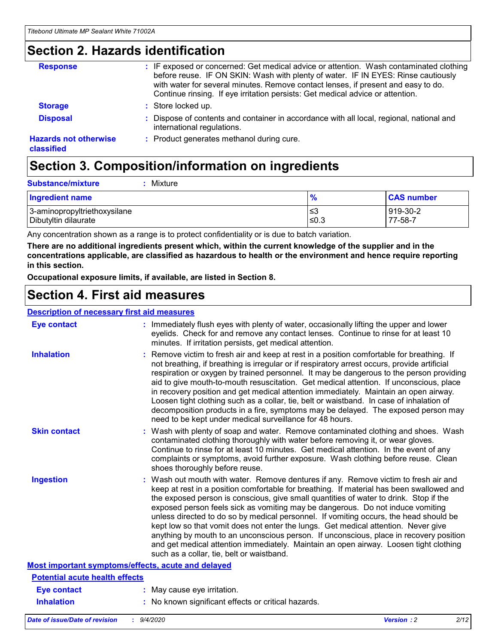### **Section 2. Hazards identification**

| <b>Response</b>                            | : IF exposed or concerned: Get medical advice or attention. Wash contaminated clothing<br>before reuse. IF ON SKIN: Wash with plenty of water. IF IN EYES: Rinse cautiously<br>with water for several minutes. Remove contact lenses, if present and easy to do.<br>Continue rinsing. If eye irritation persists: Get medical advice or attention. |
|--------------------------------------------|----------------------------------------------------------------------------------------------------------------------------------------------------------------------------------------------------------------------------------------------------------------------------------------------------------------------------------------------------|
| <b>Storage</b>                             | : Store locked up.                                                                                                                                                                                                                                                                                                                                 |
| <b>Disposal</b>                            | : Dispose of contents and container in accordance with all local, regional, national and<br>international regulations.                                                                                                                                                                                                                             |
| <b>Hazards not otherwise</b><br>classified | : Product generates methanol during cure.                                                                                                                                                                                                                                                                                                          |

## **Section 3. Composition/information on ingredients**

| <b>Ingredient name</b>       | $\frac{9}{6}$ | <b>CAS number</b> |
|------------------------------|---------------|-------------------|
| 3-aminopropyltriethoxysilane | ≤3            | 919-30-2          |
| Dibutyltin dilaurate         | ∣≤0.3         | 77-58-7           |

Any concentration shown as a range is to protect confidentiality or is due to batch variation.

**There are no additional ingredients present which, within the current knowledge of the supplier and in the concentrations applicable, are classified as hazardous to health or the environment and hence require reporting in this section.**

**Occupational exposure limits, if available, are listed in Section 8.**

### **Section 4. First aid measures**

| <b>Description of necessary first aid measures</b> |                                                                                                                                                                                                                                                                                                                                                                                                                                                                                                                                                                                                                                                                                                                                                                           |
|----------------------------------------------------|---------------------------------------------------------------------------------------------------------------------------------------------------------------------------------------------------------------------------------------------------------------------------------------------------------------------------------------------------------------------------------------------------------------------------------------------------------------------------------------------------------------------------------------------------------------------------------------------------------------------------------------------------------------------------------------------------------------------------------------------------------------------------|
| <b>Eye contact</b>                                 | : Immediately flush eyes with plenty of water, occasionally lifting the upper and lower<br>eyelids. Check for and remove any contact lenses. Continue to rinse for at least 10<br>minutes. If irritation persists, get medical attention.                                                                                                                                                                                                                                                                                                                                                                                                                                                                                                                                 |
| <b>Inhalation</b>                                  | : Remove victim to fresh air and keep at rest in a position comfortable for breathing. If<br>not breathing, if breathing is irregular or if respiratory arrest occurs, provide artificial<br>respiration or oxygen by trained personnel. It may be dangerous to the person providing<br>aid to give mouth-to-mouth resuscitation. Get medical attention. If unconscious, place<br>in recovery position and get medical attention immediately. Maintain an open airway.<br>Loosen tight clothing such as a collar, tie, belt or waistband. In case of inhalation of<br>decomposition products in a fire, symptoms may be delayed. The exposed person may<br>need to be kept under medical surveillance for 48 hours.                                                       |
| <b>Skin contact</b>                                | : Wash with plenty of soap and water. Remove contaminated clothing and shoes. Wash<br>contaminated clothing thoroughly with water before removing it, or wear gloves.<br>Continue to rinse for at least 10 minutes. Get medical attention. In the event of any<br>complaints or symptoms, avoid further exposure. Wash clothing before reuse. Clean<br>shoes thoroughly before reuse.                                                                                                                                                                                                                                                                                                                                                                                     |
| <b>Ingestion</b>                                   | : Wash out mouth with water. Remove dentures if any. Remove victim to fresh air and<br>keep at rest in a position comfortable for breathing. If material has been swallowed and<br>the exposed person is conscious, give small quantities of water to drink. Stop if the<br>exposed person feels sick as vomiting may be dangerous. Do not induce vomiting<br>unless directed to do so by medical personnel. If vomiting occurs, the head should be<br>kept low so that vomit does not enter the lungs. Get medical attention. Never give<br>anything by mouth to an unconscious person. If unconscious, place in recovery position<br>and get medical attention immediately. Maintain an open airway. Loosen tight clothing<br>such as a collar, tie, belt or waistband. |
| Most important symptoms/effects, acute and delayed |                                                                                                                                                                                                                                                                                                                                                                                                                                                                                                                                                                                                                                                                                                                                                                           |
| <b>Potential acute health effects</b>              |                                                                                                                                                                                                                                                                                                                                                                                                                                                                                                                                                                                                                                                                                                                                                                           |
| Eye contact                                        | : May cause eye irritation.                                                                                                                                                                                                                                                                                                                                                                                                                                                                                                                                                                                                                                                                                                                                               |
| <b>Inhalation</b>                                  | : No known significant effects or critical hazards.                                                                                                                                                                                                                                                                                                                                                                                                                                                                                                                                                                                                                                                                                                                       |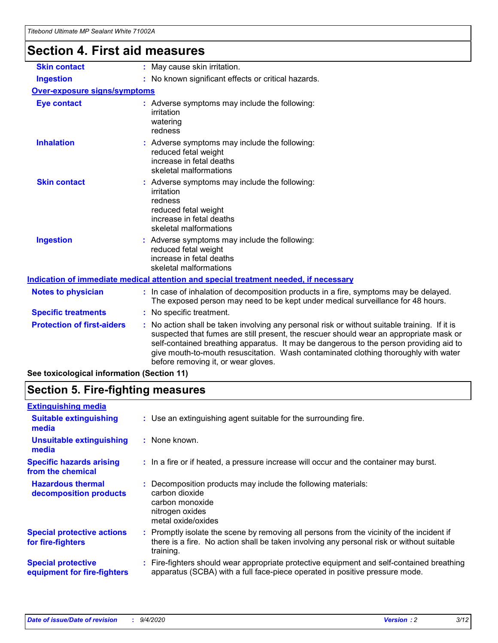## **Section 4. First aid measures**

| <b>Skin contact</b>                 |                                                                                    | : May cause skin irritation.                                                                                                                                                                                                                                                                                                                                                                                    |
|-------------------------------------|------------------------------------------------------------------------------------|-----------------------------------------------------------------------------------------------------------------------------------------------------------------------------------------------------------------------------------------------------------------------------------------------------------------------------------------------------------------------------------------------------------------|
| <b>Ingestion</b>                    |                                                                                    | : No known significant effects or critical hazards.                                                                                                                                                                                                                                                                                                                                                             |
| <b>Over-exposure signs/symptoms</b> |                                                                                    |                                                                                                                                                                                                                                                                                                                                                                                                                 |
| <b>Eye contact</b>                  | : Adverse symptoms may include the following:<br>irritation<br>watering<br>redness |                                                                                                                                                                                                                                                                                                                                                                                                                 |
| <b>Inhalation</b>                   |                                                                                    | : Adverse symptoms may include the following:<br>reduced fetal weight<br>increase in fetal deaths<br>skeletal malformations                                                                                                                                                                                                                                                                                     |
| <b>Skin contact</b>                 |                                                                                    | : Adverse symptoms may include the following:<br>irritation<br>redness<br>reduced fetal weight<br>increase in fetal deaths<br>skeletal malformations                                                                                                                                                                                                                                                            |
| <b>Ingestion</b>                    |                                                                                    | : Adverse symptoms may include the following:<br>reduced fetal weight<br>increase in fetal deaths<br>skeletal malformations                                                                                                                                                                                                                                                                                     |
|                                     |                                                                                    | <u>Indication of immediate medical attention and special treatment needed, if necessary</u>                                                                                                                                                                                                                                                                                                                     |
| <b>Notes to physician</b>           |                                                                                    | : In case of inhalation of decomposition products in a fire, symptoms may be delayed.<br>The exposed person may need to be kept under medical surveillance for 48 hours.                                                                                                                                                                                                                                        |
| <b>Specific treatments</b>          |                                                                                    | : No specific treatment.                                                                                                                                                                                                                                                                                                                                                                                        |
| <b>Protection of first-aiders</b>   |                                                                                    | : No action shall be taken involving any personal risk or without suitable training. If it is<br>suspected that fumes are still present, the rescuer should wear an appropriate mask or<br>self-contained breathing apparatus. It may be dangerous to the person providing aid to<br>give mouth-to-mouth resuscitation. Wash contaminated clothing thoroughly with water<br>before removing it, or wear gloves. |
|                                     |                                                                                    |                                                                                                                                                                                                                                                                                                                                                                                                                 |

**See toxicological information (Section 11)**

## **Section 5. Fire-fighting measures**

| <b>Extinguishing media</b>                               |                                                                                                                                                                                                     |
|----------------------------------------------------------|-----------------------------------------------------------------------------------------------------------------------------------------------------------------------------------------------------|
| <b>Suitable extinguishing</b><br>media                   | : Use an extinguishing agent suitable for the surrounding fire.                                                                                                                                     |
| <b>Unsuitable extinguishing</b><br>media                 | : None known.                                                                                                                                                                                       |
| <b>Specific hazards arising</b><br>from the chemical     | : In a fire or if heated, a pressure increase will occur and the container may burst.                                                                                                               |
| <b>Hazardous thermal</b><br>decomposition products       | : Decomposition products may include the following materials:<br>carbon dioxide<br>carbon monoxide<br>nitrogen oxides<br>metal oxide/oxides                                                         |
| <b>Special protective actions</b><br>for fire-fighters   | : Promptly isolate the scene by removing all persons from the vicinity of the incident if<br>there is a fire. No action shall be taken involving any personal risk or without suitable<br>training. |
| <b>Special protective</b><br>equipment for fire-fighters | Fire-fighters should wear appropriate protective equipment and self-contained breathing<br>apparatus (SCBA) with a full face-piece operated in positive pressure mode.                              |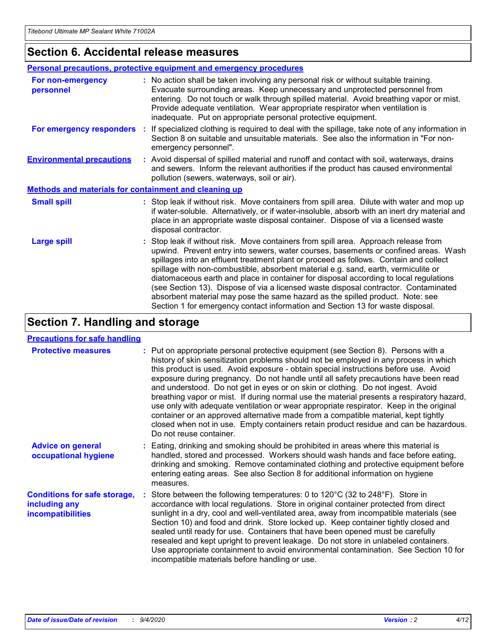### **Section 6. Accidental release measures**

|                                                              | <b>Personal precautions, protective equipment and emergency procedures</b>                                                                                                                                                                                                                                                                                                                                                                                                                                                                                                                                                                                                                                   |
|--------------------------------------------------------------|--------------------------------------------------------------------------------------------------------------------------------------------------------------------------------------------------------------------------------------------------------------------------------------------------------------------------------------------------------------------------------------------------------------------------------------------------------------------------------------------------------------------------------------------------------------------------------------------------------------------------------------------------------------------------------------------------------------|
| For non-emergency<br>personnel                               | : No action shall be taken involving any personal risk or without suitable training.<br>Evacuate surrounding areas. Keep unnecessary and unprotected personnel from<br>entering. Do not touch or walk through spilled material. Avoid breathing vapor or mist.<br>Provide adequate ventilation. Wear appropriate respirator when ventilation is<br>inadequate. Put on appropriate personal protective equipment.                                                                                                                                                                                                                                                                                             |
| For emergency responders                                     | : If specialized clothing is required to deal with the spillage, take note of any information in<br>Section 8 on suitable and unsuitable materials. See also the information in "For non-<br>emergency personnel".                                                                                                                                                                                                                                                                                                                                                                                                                                                                                           |
| <b>Environmental precautions</b>                             | : Avoid dispersal of spilled material and runoff and contact with soil, waterways, drains<br>and sewers. Inform the relevant authorities if the product has caused environmental<br>pollution (sewers, waterways, soil or air).                                                                                                                                                                                                                                                                                                                                                                                                                                                                              |
| <b>Methods and materials for containment and cleaning up</b> |                                                                                                                                                                                                                                                                                                                                                                                                                                                                                                                                                                                                                                                                                                              |
| <b>Small spill</b>                                           | : Stop leak if without risk. Move containers from spill area. Dilute with water and mop up<br>if water-soluble. Alternatively, or if water-insoluble, absorb with an inert dry material and<br>place in an appropriate waste disposal container. Dispose of via a licensed waste<br>disposal contractor.                                                                                                                                                                                                                                                                                                                                                                                                     |
| <b>Large spill</b>                                           | : Stop leak if without risk. Move containers from spill area. Approach release from<br>upwind. Prevent entry into sewers, water courses, basements or confined areas. Wash<br>spillages into an effluent treatment plant or proceed as follows. Contain and collect<br>spillage with non-combustible, absorbent material e.g. sand, earth, vermiculite or<br>diatomaceous earth and place in container for disposal according to local regulations<br>(see Section 13). Dispose of via a licensed waste disposal contractor. Contaminated<br>absorbent material may pose the same hazard as the spilled product. Note: see<br>Section 1 for emergency contact information and Section 13 for waste disposal. |

## **Section 7. Handling and storage**

### **Precautions for safe handling**

| <b>Protective measures</b>                                                       | : Put on appropriate personal protective equipment (see Section 8). Persons with a<br>history of skin sensitization problems should not be employed in any process in which<br>this product is used. Avoid exposure - obtain special instructions before use. Avoid<br>exposure during pregnancy. Do not handle until all safety precautions have been read<br>and understood. Do not get in eyes or on skin or clothing. Do not ingest. Avoid<br>breathing vapor or mist. If during normal use the material presents a respiratory hazard,<br>use only with adequate ventilation or wear appropriate respirator. Keep in the original<br>container or an approved alternative made from a compatible material, kept tightly<br>closed when not in use. Empty containers retain product residue and can be hazardous.<br>Do not reuse container. |
|----------------------------------------------------------------------------------|--------------------------------------------------------------------------------------------------------------------------------------------------------------------------------------------------------------------------------------------------------------------------------------------------------------------------------------------------------------------------------------------------------------------------------------------------------------------------------------------------------------------------------------------------------------------------------------------------------------------------------------------------------------------------------------------------------------------------------------------------------------------------------------------------------------------------------------------------|
| <b>Advice on general</b><br>occupational hygiene                                 | : Eating, drinking and smoking should be prohibited in areas where this material is<br>handled, stored and processed. Workers should wash hands and face before eating,<br>drinking and smoking. Remove contaminated clothing and protective equipment before<br>entering eating areas. See also Section 8 for additional information on hygiene<br>measures.                                                                                                                                                                                                                                                                                                                                                                                                                                                                                    |
| <b>Conditions for safe storage,</b><br>including any<br><i>incompatibilities</i> | Store between the following temperatures: 0 to 120°C (32 to 248°F). Store in<br>accordance with local regulations. Store in original container protected from direct<br>sunlight in a dry, cool and well-ventilated area, away from incompatible materials (see<br>Section 10) and food and drink. Store locked up. Keep container tightly closed and<br>sealed until ready for use. Containers that have been opened must be carefully<br>resealed and kept upright to prevent leakage. Do not store in unlabeled containers.<br>Use appropriate containment to avoid environmental contamination. See Section 10 for<br>incompatible materials before handling or use.                                                                                                                                                                         |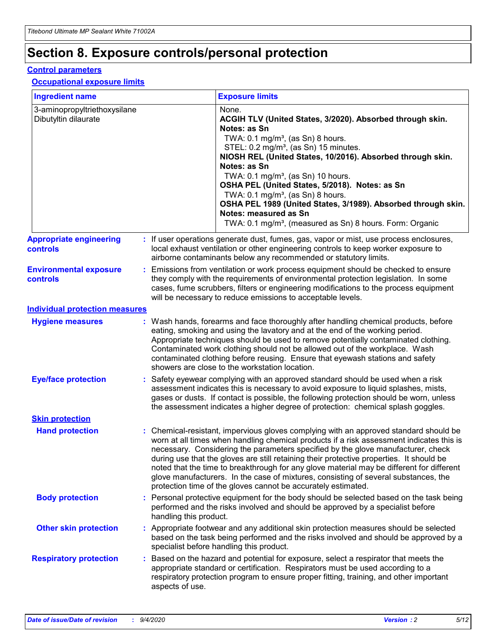## **Section 8. Exposure controls/personal protection**

### **Control parameters**

### **Occupational exposure limits**

| <b>Ingredient name</b>                               |    |                        | <b>Exposure limits</b>                                                                                                                                                                                                                                                                                                                                                                                                                                                                                                                                                                                                 |
|------------------------------------------------------|----|------------------------|------------------------------------------------------------------------------------------------------------------------------------------------------------------------------------------------------------------------------------------------------------------------------------------------------------------------------------------------------------------------------------------------------------------------------------------------------------------------------------------------------------------------------------------------------------------------------------------------------------------------|
| 3-aminopropyltriethoxysilane<br>Dibutyltin dilaurate |    |                        | None.<br>ACGIH TLV (United States, 3/2020). Absorbed through skin.<br>Notes: as Sn<br>TWA: 0.1 mg/m <sup>3</sup> , (as Sn) 8 hours.<br>STEL: 0.2 mg/m <sup>3</sup> , (as Sn) 15 minutes.<br>NIOSH REL (United States, 10/2016). Absorbed through skin.<br>Notes: as Sn<br>TWA: 0.1 mg/m <sup>3</sup> , (as Sn) 10 hours.<br>OSHA PEL (United States, 5/2018). Notes: as Sn<br>TWA: $0.1 \text{ mg/m}^3$ , (as Sn) 8 hours.<br>OSHA PEL 1989 (United States, 3/1989). Absorbed through skin.<br>Notes: measured as Sn<br>TWA: 0.1 mg/m <sup>3</sup> , (measured as Sn) 8 hours. Form: Organic                           |
| <b>Appropriate engineering</b><br>controls           |    |                        | : If user operations generate dust, fumes, gas, vapor or mist, use process enclosures,<br>local exhaust ventilation or other engineering controls to keep worker exposure to<br>airborne contaminants below any recommended or statutory limits.                                                                                                                                                                                                                                                                                                                                                                       |
| <b>Environmental exposure</b><br><b>controls</b>     |    |                        | Emissions from ventilation or work process equipment should be checked to ensure<br>they comply with the requirements of environmental protection legislation. In some<br>cases, fume scrubbers, filters or engineering modifications to the process equipment<br>will be necessary to reduce emissions to acceptable levels.                                                                                                                                                                                                                                                                                          |
| <b>Individual protection measures</b>                |    |                        |                                                                                                                                                                                                                                                                                                                                                                                                                                                                                                                                                                                                                        |
| <b>Hygiene measures</b>                              |    |                        | : Wash hands, forearms and face thoroughly after handling chemical products, before<br>eating, smoking and using the lavatory and at the end of the working period.<br>Appropriate techniques should be used to remove potentially contaminated clothing.<br>Contaminated work clothing should not be allowed out of the workplace. Wash<br>contaminated clothing before reusing. Ensure that eyewash stations and safety<br>showers are close to the workstation location.                                                                                                                                            |
| <b>Eye/face protection</b>                           |    |                        | : Safety eyewear complying with an approved standard should be used when a risk<br>assessment indicates this is necessary to avoid exposure to liquid splashes, mists,<br>gases or dusts. If contact is possible, the following protection should be worn, unless<br>the assessment indicates a higher degree of protection: chemical splash goggles.                                                                                                                                                                                                                                                                  |
| <b>Skin protection</b>                               |    |                        |                                                                                                                                                                                                                                                                                                                                                                                                                                                                                                                                                                                                                        |
| <b>Hand protection</b>                               |    |                        | : Chemical-resistant, impervious gloves complying with an approved standard should be<br>worn at all times when handling chemical products if a risk assessment indicates this is<br>necessary. Considering the parameters specified by the glove manufacturer, check<br>during use that the gloves are still retaining their protective properties. It should be<br>noted that the time to breakthrough for any glove material may be different for different<br>glove manufacturers. In the case of mixtures, consisting of several substances, the<br>protection time of the gloves cannot be accurately estimated. |
| <b>Body protection</b>                               |    | handling this product. | Personal protective equipment for the body should be selected based on the task being<br>performed and the risks involved and should be approved by a specialist before                                                                                                                                                                                                                                                                                                                                                                                                                                                |
| <b>Other skin protection</b>                         |    |                        | : Appropriate footwear and any additional skin protection measures should be selected<br>based on the task being performed and the risks involved and should be approved by a<br>specialist before handling this product.                                                                                                                                                                                                                                                                                                                                                                                              |
| <b>Respiratory protection</b>                        | ÷. | aspects of use.        | Based on the hazard and potential for exposure, select a respirator that meets the<br>appropriate standard or certification. Respirators must be used according to a<br>respiratory protection program to ensure proper fitting, training, and other important                                                                                                                                                                                                                                                                                                                                                         |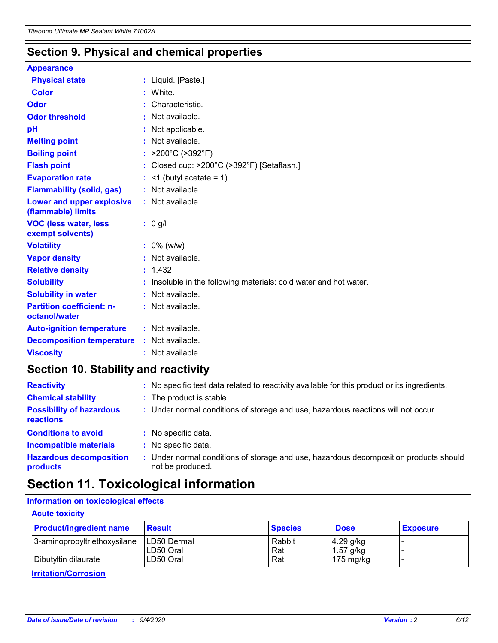### **Section 9. Physical and chemical properties**

### **Appearance**

| <b>Physical state</b>                             | : Liquid. [Paste.]                                              |
|---------------------------------------------------|-----------------------------------------------------------------|
| <b>Color</b>                                      | White.                                                          |
| Odor                                              | Characteristic.                                                 |
| <b>Odor threshold</b>                             | : Not available.                                                |
| рH                                                | : Not applicable.                                               |
| <b>Melting point</b>                              | : Not available.                                                |
| <b>Boiling point</b>                              | : $>200^{\circ}$ C ( $>392^{\circ}$ F)                          |
| <b>Flash point</b>                                | Closed cup: >200°C (>392°F) [Setaflash.]                        |
| <b>Evaporation rate</b>                           | $:$ <1 (butyl acetate = 1)                                      |
| <b>Flammability (solid, gas)</b>                  | : Not available.                                                |
| Lower and upper explosive<br>(flammable) limits   | $:$ Not available.                                              |
| <b>VOC (less water, less)</b><br>exempt solvents) | $: 0$ g/l                                                       |
| <b>Volatility</b>                                 | $: 0\%$ (w/w)                                                   |
| <b>Vapor density</b>                              | : Not available.                                                |
| <b>Relative density</b>                           | : 1.432                                                         |
| <b>Solubility</b>                                 | Insoluble in the following materials: cold water and hot water. |
| <b>Solubility in water</b>                        | : Not available.                                                |
| <b>Partition coefficient: n-</b><br>octanol/water | : Not available.                                                |
| <b>Auto-ignition temperature</b>                  | : Not available.                                                |
| <b>Decomposition temperature</b>                  | : Not available.                                                |
|                                                   |                                                                 |

## **Section 10. Stability and reactivity**

| <b>Reactivity</b>                            |    | : No specific test data related to reactivity available for this product or its ingredients.            |
|----------------------------------------------|----|---------------------------------------------------------------------------------------------------------|
| <b>Chemical stability</b>                    |    | : The product is stable.                                                                                |
| <b>Possibility of hazardous</b><br>reactions |    | : Under normal conditions of storage and use, hazardous reactions will not occur.                       |
| <b>Conditions to avoid</b>                   |    | : No specific data.                                                                                     |
| <b>Incompatible materials</b>                | ٠. | No specific data.                                                                                       |
| <b>Hazardous decomposition</b><br>products   | ÷. | Under normal conditions of storage and use, hazardous decomposition products should<br>not be produced. |

## **Section 11. Toxicological information**

### **Information on toxicological effects**

### **Acute toxicity**

| <b>Product/ingredient name</b> | <b>Result</b>           | <b>Species</b> | <b>Dose</b>                | <b>Exposure</b> |
|--------------------------------|-------------------------|----------------|----------------------------|-----------------|
| 3-aminopropyltriethoxysilane   | <b>ILD50 Dermal</b>     | Rabbit         | 4.29 g/kg                  |                 |
| Dibutyltin dilaurate           | ILD50 Oral<br>LD50 Oral | Rat<br>Rat     | $1.57$ g/kg<br>175 $mg/kg$ |                 |
|                                |                         |                |                            |                 |

**Irritation/Corrosion**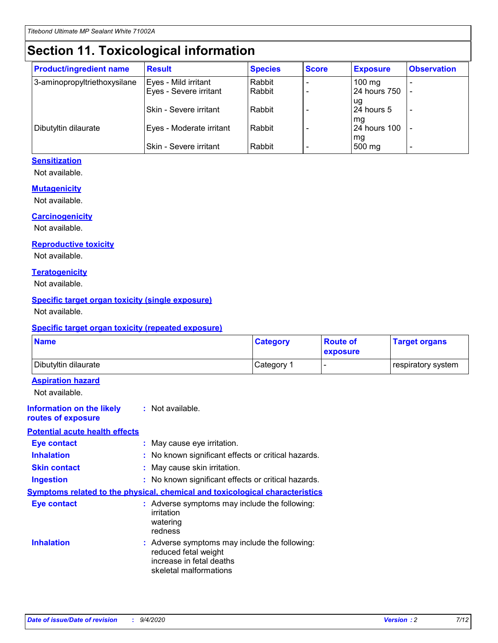## **Section 11. Toxicological information**

| <b>Product/ingredient name</b> | <b>Result</b>            | <b>Species</b> | <b>Score</b> | <b>Exposure</b>           | <b>Observation</b> |
|--------------------------------|--------------------------|----------------|--------------|---------------------------|--------------------|
| 3-aminopropyltriethoxysilane   | Eyes - Mild irritant     | Rabbit         |              | $100$ mg                  |                    |
|                                | Eyes - Severe irritant   | Rabbit         |              | 24 hours 750              |                    |
|                                |                          |                |              | ug                        |                    |
|                                | Skin - Severe irritant   | Rabbit         |              | 24 hours 5                | -                  |
| Dibutyltin dilaurate           | Eyes - Moderate irritant | Rabbit         |              | mq<br><b>24 hours 100</b> |                    |
|                                |                          |                |              | mg                        |                    |
|                                | Skin - Severe irritant   | Rabbit         |              | 500 mg                    |                    |

### **Sensitization**

Not available.

### **Mutagenicity**

Not available.

### **Carcinogenicity**

Not available.

#### **Reproductive toxicity**

Not available.

### **Teratogenicity**

Not available.

### **Specific target organ toxicity (single exposure)**

Not available.

### **Specific target organ toxicity (repeated exposure)**

| <b>Name</b>                                                                  |                                                                            | <b>Category</b>                                     | <b>Route of</b><br>exposure | <b>Target organs</b> |
|------------------------------------------------------------------------------|----------------------------------------------------------------------------|-----------------------------------------------------|-----------------------------|----------------------|
| Dibutyltin dilaurate                                                         |                                                                            | Category 1                                          | -                           | respiratory system   |
| <b>Aspiration hazard</b><br>Not available.                                   |                                                                            |                                                     |                             |                      |
| <b>Information on the likely</b><br>routes of exposure                       | : Not available.                                                           |                                                     |                             |                      |
| <b>Potential acute health effects</b>                                        |                                                                            |                                                     |                             |                      |
| <b>Eye contact</b>                                                           | : May cause eye irritation.                                                |                                                     |                             |                      |
| <b>Inhalation</b>                                                            |                                                                            | : No known significant effects or critical hazards. |                             |                      |
| <b>Skin contact</b>                                                          | : May cause skin irritation.                                               |                                                     |                             |                      |
| <b>Ingestion</b>                                                             |                                                                            | : No known significant effects or critical hazards. |                             |                      |
| Symptoms related to the physical, chemical and toxicological characteristics |                                                                            |                                                     |                             |                      |
| <b>Eye contact</b>                                                           | irritation<br>watering<br>redness                                          | : Adverse symptoms may include the following:       |                             |                      |
| <b>Inhalation</b>                                                            | reduced fetal weight<br>increase in fetal deaths<br>skeletal malformations | : Adverse symptoms may include the following:       |                             |                      |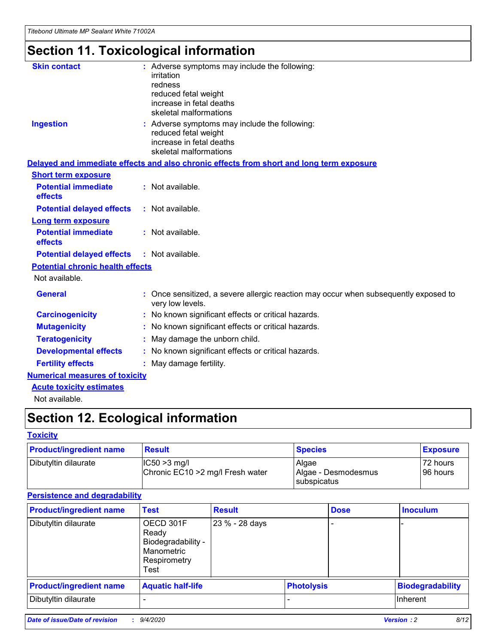# **Section 11. Toxicological information**

| <b>Skin contact</b>                     | : Adverse symptoms may include the following:<br>irritation                                              |
|-----------------------------------------|----------------------------------------------------------------------------------------------------------|
|                                         | redness                                                                                                  |
|                                         | reduced fetal weight                                                                                     |
|                                         | increase in fetal deaths                                                                                 |
|                                         | skeletal malformations                                                                                   |
| <b>Ingestion</b>                        | : Adverse symptoms may include the following:<br>reduced fetal weight                                    |
|                                         | increase in fetal deaths                                                                                 |
|                                         | skeletal malformations                                                                                   |
|                                         | Delayed and immediate effects and also chronic effects from short and long term exposure                 |
| <b>Short term exposure</b>              |                                                                                                          |
| <b>Potential immediate</b><br>effects   | : Not available.                                                                                         |
| <b>Potential delayed effects</b>        | : Not available.                                                                                         |
| Long term exposure                      |                                                                                                          |
| <b>Potential immediate</b>              | : Not available.                                                                                         |
| effects                                 |                                                                                                          |
| <b>Potential delayed effects</b>        | : Not available.                                                                                         |
| <b>Potential chronic health effects</b> |                                                                                                          |
| Not available.                          |                                                                                                          |
| <b>General</b>                          | : Once sensitized, a severe allergic reaction may occur when subsequently exposed to<br>very low levels. |
| <b>Carcinogenicity</b>                  | : No known significant effects or critical hazards.                                                      |
| <b>Mutagenicity</b>                     | No known significant effects or critical hazards.                                                        |
| <b>Teratogenicity</b>                   | May damage the unborn child.                                                                             |
| <b>Developmental effects</b>            | : No known significant effects or critical hazards.                                                      |
| <b>Fertility effects</b>                | : May damage fertility.                                                                                  |
| <b>Numerical measures of toxicity</b>   |                                                                                                          |
| <b>Acute toxicity estimates</b>         |                                                                                                          |
| .                                       |                                                                                                          |

Not available.

## **Section 12. Ecological information**

### **Toxicity**

| <b>Product/ingredient name</b> | <b>Result</b>                                       | <b>Species</b>               | <b>Exposure</b>       |
|--------------------------------|-----------------------------------------------------|------------------------------|-----------------------|
| Dibutyltin dilaurate           | $ CC50>3$ mg/l<br>Chronic EC10 > 2 mg/l Fresh water | Algae<br>Algae - Desmodesmus | 72 hours<br>196 hours |
|                                |                                                     | <b>I</b> subspicatus         |                       |

### **Persistence and degradability**

| <b>Product/ingredient name</b> | <b>Test</b>                                                                    | <b>Result</b>  |                   | <b>Dose</b> | <b>Inoculum</b>         |
|--------------------------------|--------------------------------------------------------------------------------|----------------|-------------------|-------------|-------------------------|
| Dibutyltin dilaurate           | OECD 301F<br>Ready<br>Biodegradability -<br>Manometric<br>Respirometry<br>Test | 23 % - 28 days |                   |             |                         |
| <b>Product/ingredient name</b> | <b>Aquatic half-life</b>                                                       |                | <b>Photolysis</b> |             | <b>Biodegradability</b> |
| Dibutyltin dilaurate           |                                                                                |                |                   |             | <b>Inherent</b>         |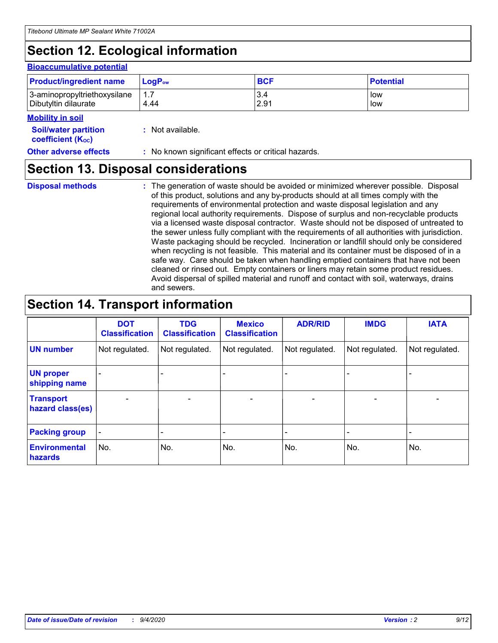## **Section 12. Ecological information**

### **Bioaccumulative potential**

| <b>Product/ingredient name</b> | <b>LogP</b> <sub>ow</sub> | <b>BCF</b> | <b>Potential</b> |
|--------------------------------|---------------------------|------------|------------------|
| 3-aminopropyltriethoxysilane   | 4.44                      | 3.4        | low              |
| Dibutyltin dilaurate           |                           | 2.91       | low              |

#### **Mobility in soil**

| <b>Soil/water partition</b> | : Not available. |
|-----------------------------|------------------|
| <b>coefficient (Koc)</b>    |                  |

| <b>Other adverse effects</b> | : No known significant effects or critical hazards. |
|------------------------------|-----------------------------------------------------|
|------------------------------|-----------------------------------------------------|

### **Section 13. Disposal considerations**

**Disposal methods :**

The generation of waste should be avoided or minimized wherever possible. Disposal of this product, solutions and any by-products should at all times comply with the requirements of environmental protection and waste disposal legislation and any regional local authority requirements. Dispose of surplus and non-recyclable products via a licensed waste disposal contractor. Waste should not be disposed of untreated to the sewer unless fully compliant with the requirements of all authorities with jurisdiction. Waste packaging should be recycled. Incineration or landfill should only be considered when recycling is not feasible. This material and its container must be disposed of in a safe way. Care should be taken when handling emptied containers that have not been cleaned or rinsed out. Empty containers or liners may retain some product residues. Avoid dispersal of spilled material and runoff and contact with soil, waterways, drains and sewers.

### **Section 14. Transport information**

|                                      | <b>DOT</b><br><b>Classification</b> | <b>TDG</b><br><b>Classification</b> | <b>Mexico</b><br><b>Classification</b> | <b>ADR/RID</b>           | <b>IMDG</b>              | <b>IATA</b>    |
|--------------------------------------|-------------------------------------|-------------------------------------|----------------------------------------|--------------------------|--------------------------|----------------|
| <b>UN number</b>                     | Not regulated.                      | Not regulated.                      | Not regulated.                         | Not regulated.           | Not regulated.           | Not regulated. |
| <b>UN proper</b><br>shipping name    |                                     |                                     |                                        |                          |                          |                |
| <b>Transport</b><br>hazard class(es) |                                     | $\overline{\phantom{0}}$            | $\qquad \qquad \blacksquare$           | $\overline{\phantom{0}}$ | $\overline{\phantom{0}}$ |                |
| <b>Packing group</b>                 |                                     |                                     |                                        |                          |                          |                |
| <b>Environmental</b><br>hazards      | No.                                 | No.                                 | No.                                    | No.                      | No.                      | No.            |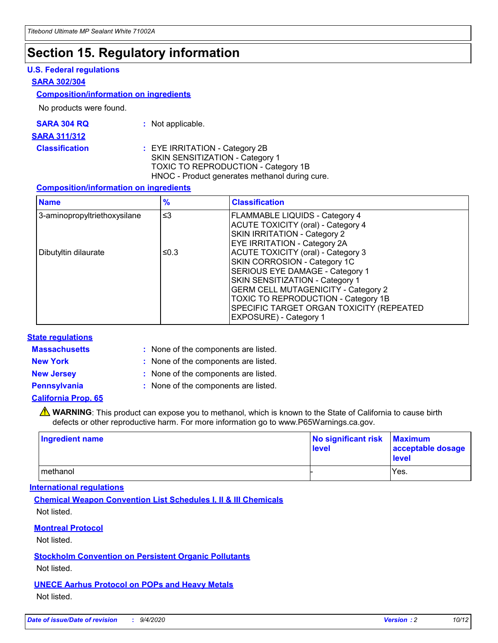## **Section 15. Regulatory information**

### **U.S. Federal regulations**

### **SARA 302/304**

### **Composition/information on ingredients**

No products were found.

| SARA 304 RQ | Not applicable. |
|-------------|-----------------|
|-------------|-----------------|

#### **SARA 311/312**

**Classification :** EYE IRRITATION - Category 2B SKIN SENSITIZATION - Category 1 TOXIC TO REPRODUCTION - Category 1B HNOC - Product generates methanol during cure.

### **Composition/information on ingredients**

| <b>Name</b>                  | $\frac{9}{6}$ | <b>Classification</b>                                                                                                                                                                                                                                                                                      |  |
|------------------------------|---------------|------------------------------------------------------------------------------------------------------------------------------------------------------------------------------------------------------------------------------------------------------------------------------------------------------------|--|
| 3-aminopropyltriethoxysilane | $\leq$ 3      | <b>FLAMMABLE LIQUIDS - Category 4</b><br><b>ACUTE TOXICITY (oral) - Category 4</b><br><b>SKIN IRRITATION - Category 2</b><br>EYE IRRITATION - Category 2A                                                                                                                                                  |  |
| Dibutyltin dilaurate         | ≤0.3          | <b>ACUTE TOXICITY (oral) - Category 3</b><br>SKIN CORROSION - Category 1C<br>SERIOUS EYE DAMAGE - Category 1<br>SKIN SENSITIZATION - Category 1<br><b>GERM CELL MUTAGENICITY - Category 2</b><br>TOXIC TO REPRODUCTION - Category 1B<br>SPECIFIC TARGET ORGAN TOXICITY (REPEATED<br>EXPOSURE) - Category 1 |  |

### **State regulations**

**Massachusetts :**

: None of the components are listed.

**New York :** None of the components are listed. **New Jersey :** None of the components are listed.

**Pennsylvania :** None of the components are listed.

### **California Prop. 65**

WARNING: This product can expose you to methanol, which is known to the State of California to cause birth defects or other reproductive harm. For more information go to www.P65Warnings.ca.gov.

| Ingredient name | No significant risk<br>level | <b>Maximum</b><br>acceptable dosage<br>level |
|-----------------|------------------------------|----------------------------------------------|
| methanol        |                              | Yes.                                         |

### **International regulations**

**Chemical Weapon Convention List Schedules I, II & III Chemicals** Not listed.

### **Montreal Protocol**

Not listed.

**Stockholm Convention on Persistent Organic Pollutants**

Not listed.

### **UNECE Aarhus Protocol on POPs and Heavy Metals** Not listed.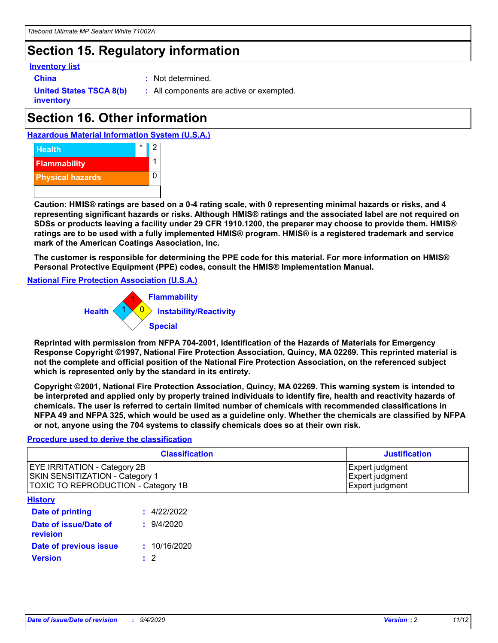## **Section 15. Regulatory information**

### **Inventory list**

**China :** Not determined.

**United States TSCA 8(b) inventory**

**:** All components are active or exempted.

## **Section 16. Other information**





**Caution: HMIS® ratings are based on a 0-4 rating scale, with 0 representing minimal hazards or risks, and 4 representing significant hazards or risks. Although HMIS® ratings and the associated label are not required on SDSs or products leaving a facility under 29 CFR 1910.1200, the preparer may choose to provide them. HMIS® ratings are to be used with a fully implemented HMIS® program. HMIS® is a registered trademark and service mark of the American Coatings Association, Inc.**

**The customer is responsible for determining the PPE code for this material. For more information on HMIS® Personal Protective Equipment (PPE) codes, consult the HMIS® Implementation Manual.**

**National Fire Protection Association (U.S.A.)**



**Reprinted with permission from NFPA 704-2001, Identification of the Hazards of Materials for Emergency Response Copyright ©1997, National Fire Protection Association, Quincy, MA 02269. This reprinted material is not the complete and official position of the National Fire Protection Association, on the referenced subject which is represented only by the standard in its entirety.**

**Copyright ©2001, National Fire Protection Association, Quincy, MA 02269. This warning system is intended to be interpreted and applied only by properly trained individuals to identify fire, health and reactivity hazards of chemicals. The user is referred to certain limited number of chemicals with recommended classifications in NFPA 49 and NFPA 325, which would be used as a guideline only. Whether the chemicals are classified by NFPA or not, anyone using the 704 systems to classify chemicals does so at their own risk.**

### **Procedure used to derive the classification**

| <b>Classification</b>                                                                                                | <b>Justification</b>                                  |
|----------------------------------------------------------------------------------------------------------------------|-------------------------------------------------------|
| <b>EYE IRRITATION - Category 2B</b><br><b>SKIN SENSITIZATION - Category 1</b><br>TOXIC TO REPRODUCTION - Category 1B | Expert judgment<br>Expert judgment<br>Expert judgment |
| <b>History</b>                                                                                                       |                                                       |

| .                                 |              |
|-----------------------------------|--------------|
| <b>Date of printing</b>           | : 4/22/2022  |
| Date of issue/Date of<br>revision | 9/4/2020     |
| Date of previous issue            | : 10/16/2020 |
| Version                           | $\cdot$ 2    |
|                                   |              |